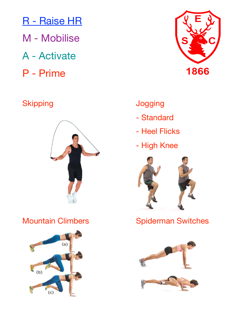- R Raise HR
- M Mobilise
- A Activate
- P Prime

## Skipping **Skipping Skipping**







- Standard
- Heel Flicks
- High Knee



Mountain Climbers **Bullet Spiderman Switches** 

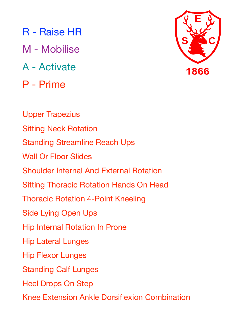M - Mobilise

- A Activate
- P Prime



Upper Trapezius Sitting Neck Rotation Standing Streamline Reach Ups Wall Or Floor Slides Shoulder Internal And External Rotation Sitting Thoracic Rotation Hands On Head Thoracic Rotation 4-Point Kneeling Side Lying Open Ups Hip Internal Rotation In Prone Hip Lateral Lunges Hip Flexor Lunges Standing Calf Lunges Heel Drops On Step Knee Extension Ankle Dorsiflexion Combination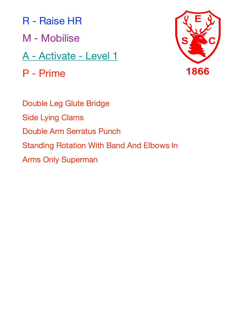- M Mobilise
- A Activate Level 1

P - Prime



Double Leg Glute Bridge Side Lying Clams Double Arm Serratus Punch Standing Rotation With Band And Elbows In Arms Only Superman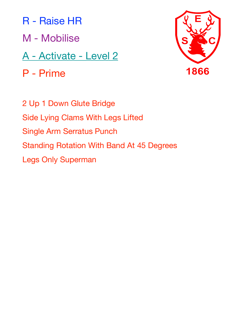- M Mobilise
- A Activate Level 2
- P Prime



2 Up 1 Down Glute Bridge Side Lying Clams With Legs Lifted Single Arm Serratus Punch Standing Rotation With Band At 45 Degrees Legs Only Superman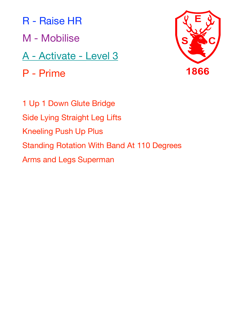- M Mobilise
- A Activate Level 3
- P Prime



1 Up 1 Down Glute Bridge Side Lying Straight Leg Lifts Kneeling Push Up Plus Standing Rotation With Band At 110 Degrees Arms and Legs Superman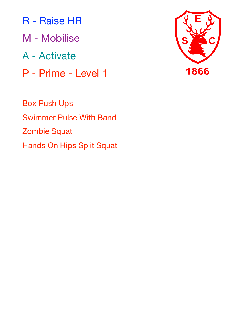R - Raise HR M - Mobilise A - Activate P - Prime - Level 1

Box Push Ups Swimmer Pulse With Band Zombie Squat Hands On Hips Split Squat

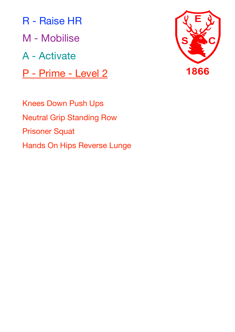R - Raise HR M - Mobilise A - Activate P - Prime - Level 2



Knees Down Push Ups Neutral Grip Standing Row Prisoner Squat Hands On Hips Reverse Lunge